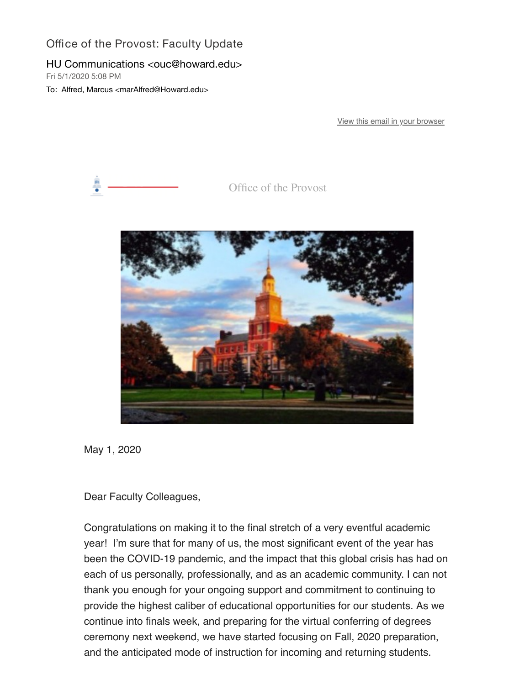## Office of the Provost: Faculty Update

## HU Communications <ouc@howard.edu>

Fri 5/1/2020 5:08 PM

To: Alfred, Marcus <marAlfred@Howard.edu>

[View this email in your browser](https://nam04.safelinks.protection.outlook.com/?url=https%3A%2F%2Fmailchi.mp%2F54a7cbfe4324%2Foffice-of-the-provost-faculty-update-610478%3Fe%3D0058eb68db&data=02%7C01%7CmarAlfred%40Howard.edu%7C7fb137bc7c764867517408d7ee13d479%7C02ac0c07b75f46bf9b133630ba94bb69%7C0%7C0%7C637239641253854248&sdata=613gesq38Y%2BqWWx8sNB%2BznpiSqFHIqgsvGyCYe5rg7M%3D&reserved=0)



Office of the Provost



May 1, 2020

Dear Faculty Colleagues,

Congratulations on making it to the final stretch of a very eventful academic year! I'm sure that for many of us, the most significant event of the year has been the COVID-19 pandemic, and the impact that this global crisis has had on each of us personally, professionally, and as an academic community. I can not thank you enough for your ongoing support and commitment to continuing to provide the highest caliber of educational opportunities for our students. As we continue into finals week, and preparing for the virtual conferring of degrees ceremony next weekend, we have started focusing on Fall, 2020 preparation, and the anticipated mode of instruction for incoming and returning students.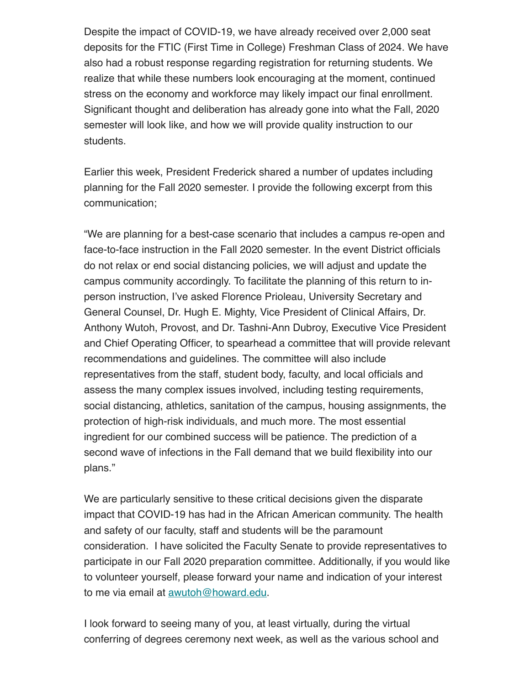Despite the impact of COVID-19, we have already received over 2,000 seat deposits for the FTIC (First Time in College) Freshman Class of 2024. We have also had a robust response regarding registration for returning students. We realize that while these numbers look encouraging at the moment, continued stress on the economy and workforce may likely impact our final enrollment. Significant thought and deliberation has already gone into what the Fall, 2020 semester will look like, and how we will provide quality instruction to our students.

Earlier this week, President Frederick shared a number of updates including planning for the Fall 2020 semester. I provide the following excerpt from this communication;

"We are planning for a best-case scenario that includes a campus re-open and face-to-face instruction in the Fall 2020 semester. In the event District officials do not relax or end social distancing policies, we will adjust and update the campus community accordingly. To facilitate the planning of this return to inperson instruction, I've asked Florence Prioleau, University Secretary and General Counsel, Dr. Hugh E. Mighty, Vice President of Clinical Affairs, Dr. Anthony Wutoh, Provost, and Dr. Tashni-Ann Dubroy, Executive Vice President and Chief Operating Officer, to spearhead a committee that will provide relevant recommendations and guidelines. The committee will also include representatives from the staff, student body, faculty, and local officials and assess the many complex issues involved, including testing requirements, social distancing, athletics, sanitation of the campus, housing assignments, the protection of high-risk individuals, and much more. The most essential ingredient for our combined success will be patience. The prediction of a second wave of infections in the Fall demand that we build flexibility into our plans."

We are particularly sensitive to these critical decisions given the disparate impact that COVID-19 has had in the African American community. The health and safety of our faculty, staff and students will be the paramount consideration. I have solicited the Faculty Senate to provide representatives to participate in our Fall 2020 preparation committee. Additionally, if you would like to volunteer yourself, please forward your name and indication of your interest to me via email at [awutoh@howard.edu](mailto:awutoh@howard.edu).

I look forward to seeing many of you, at least virtually, during the virtual conferring of degrees ceremony next week, as well as the various school and